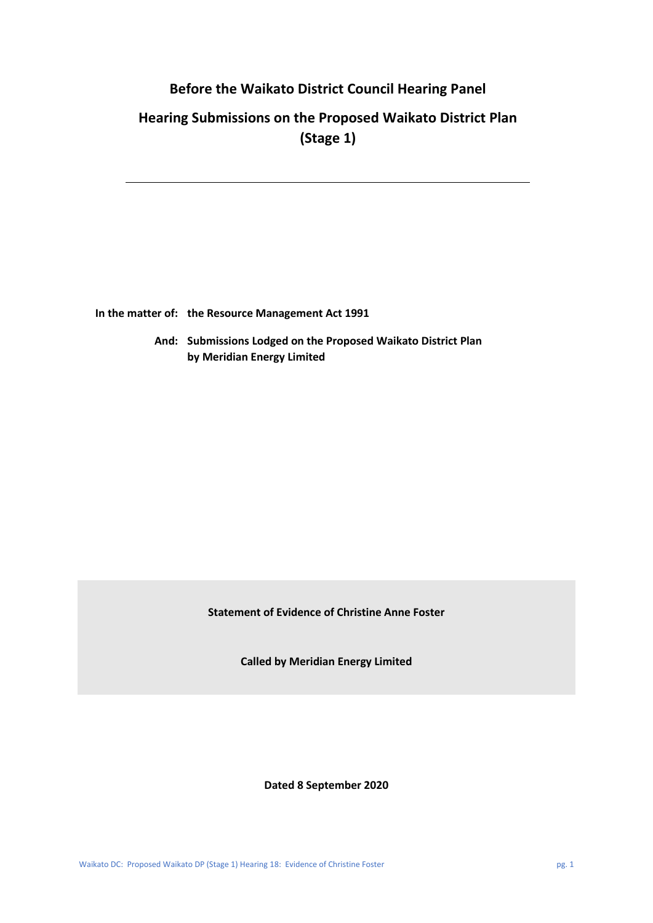# **Before the Waikato District Council Hearing Panel**

# **Hearing Submissions on the Proposed Waikato District Plan (Stage 1)**

**In the matter of: the Resource Management Act 1991**

**And: Submissions Lodged on the Proposed Waikato District Plan by Meridian Energy Limited**

**Statement of Evidence of Christine Anne Foster**

**Called by Meridian Energy Limited**

**Dated 8 September 2020**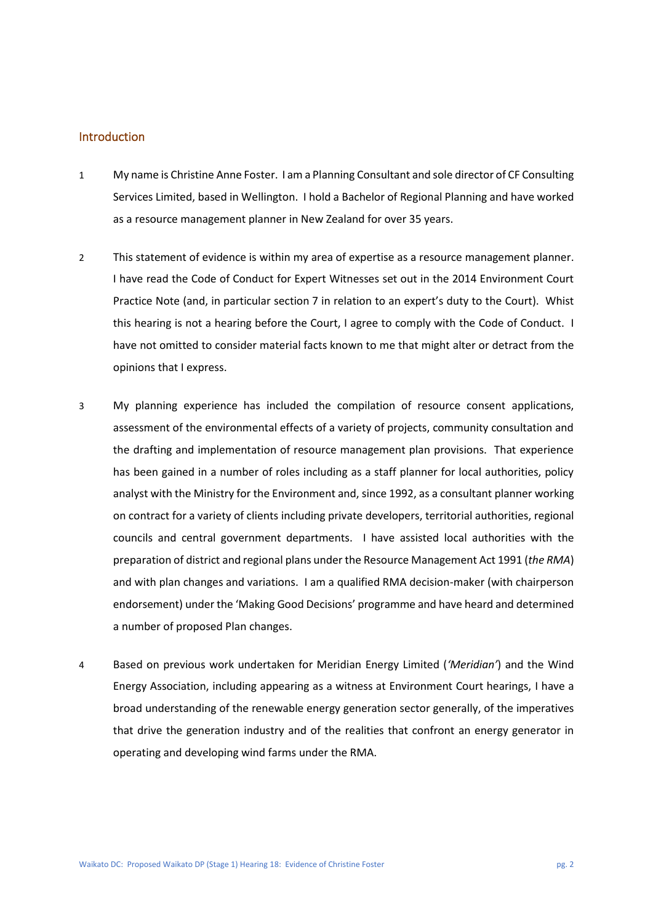#### Introduction

- 1 My name is Christine Anne Foster. I am a Planning Consultant and sole director of CF Consulting Services Limited, based in Wellington. I hold a Bachelor of Regional Planning and have worked as a resource management planner in New Zealand for over 35 years.
- 2 This statement of evidence is within my area of expertise as a resource management planner. I have read the Code of Conduct for Expert Witnesses set out in the 2014 Environment Court Practice Note (and, in particular section 7 in relation to an expert's duty to the Court). Whist this hearing is not a hearing before the Court, I agree to comply with the Code of Conduct. I have not omitted to consider material facts known to me that might alter or detract from the opinions that I express.
- 3 My planning experience has included the compilation of resource consent applications, assessment of the environmental effects of a variety of projects, community consultation and the drafting and implementation of resource management plan provisions. That experience has been gained in a number of roles including as a staff planner for local authorities, policy analyst with the Ministry for the Environment and, since 1992, as a consultant planner working on contract for a variety of clients including private developers, territorial authorities, regional councils and central government departments. I have assisted local authorities with the preparation of district and regional plans under the Resource Management Act 1991 (*the RMA*) and with plan changes and variations. I am a qualified RMA decision-maker (with chairperson endorsement) under the 'Making Good Decisions' programme and have heard and determined a number of proposed Plan changes.
- 4 Based on previous work undertaken for Meridian Energy Limited (*'Meridian'*) and the Wind Energy Association, including appearing as a witness at Environment Court hearings, I have a broad understanding of the renewable energy generation sector generally, of the imperatives that drive the generation industry and of the realities that confront an energy generator in operating and developing wind farms under the RMA.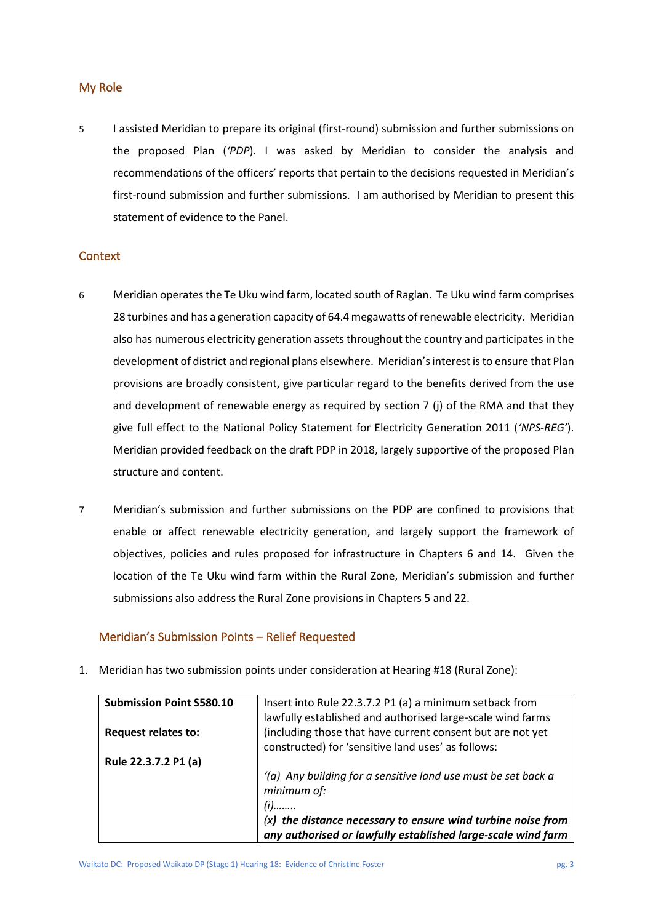### My Role

5 I assisted Meridian to prepare its original (first-round) submission and further submissions on the proposed Plan (*'PDP*). I was asked by Meridian to consider the analysis and recommendations of the officers' reports that pertain to the decisions requested in Meridian's first-round submission and further submissions. I am authorised by Meridian to present this statement of evidence to the Panel.

#### **Context**

- 6 Meridian operates the Te Uku wind farm, located south of Raglan. Te Uku wind farm comprises 28 turbines and has a generation capacity of 64.4 megawatts of renewable electricity. Meridian also has numerous electricity generation assets throughout the country and participates in the development of district and regional plans elsewhere. Meridian'sinterest is to ensure that Plan provisions are broadly consistent, give particular regard to the benefits derived from the use and development of renewable energy as required by section 7 (j) of the RMA and that they give full effect to the National Policy Statement for Electricity Generation 2011 (*'NPS-REG'*). Meridian provided feedback on the draft PDP in 2018, largely supportive of the proposed Plan structure and content.
- 7 Meridian's submission and further submissions on the PDP are confined to provisions that enable or affect renewable electricity generation, and largely support the framework of objectives, policies and rules proposed for infrastructure in Chapters 6 and 14. Given the location of the Te Uku wind farm within the Rural Zone, Meridian's submission and further submissions also address the Rural Zone provisions in Chapters 5 and 22.

#### Meridian's Submission Points – Relief Requested

| <b>Submission Point S580.10</b> | Insert into Rule 22.3.7.2 P1 (a) a minimum setback from        |
|---------------------------------|----------------------------------------------------------------|
|                                 | lawfully established and authorised large-scale wind farms     |
| <b>Request relates to:</b>      | (including those that have current consent but are not yet     |
|                                 | constructed) for 'sensitive land uses' as follows:             |
| Rule 22.3.7.2 P1 (a)            |                                                                |
|                                 | '(a) Any building for a sensitive land use must be set back a  |
|                                 | minimum of:                                                    |
|                                 | $(i)$                                                          |
|                                 | $(x)$ the distance necessary to ensure wind turbine noise from |
|                                 | any authorised or lawfully established large-scale wind farm   |

1. Meridian has two submission points under consideration at Hearing #18 (Rural Zone):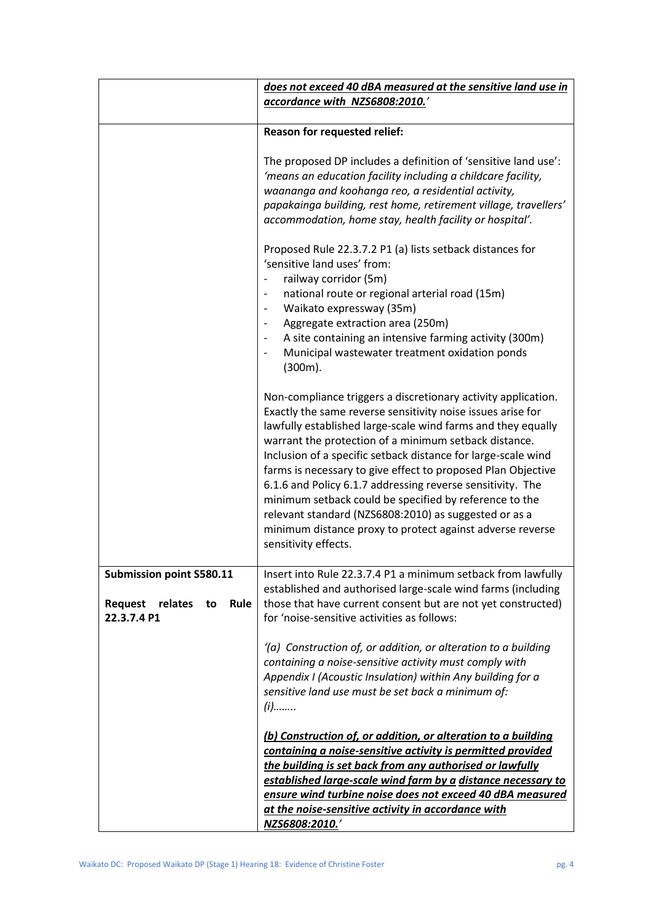|                                                                                    | does not exceed 40 dBA measured at the sensitive land use in                                                                                                                                                                                                                                                                                                                                                                                                                                                                                                                                                                                                 |  |
|------------------------------------------------------------------------------------|--------------------------------------------------------------------------------------------------------------------------------------------------------------------------------------------------------------------------------------------------------------------------------------------------------------------------------------------------------------------------------------------------------------------------------------------------------------------------------------------------------------------------------------------------------------------------------------------------------------------------------------------------------------|--|
|                                                                                    | accordance with NZS6808:2010.'                                                                                                                                                                                                                                                                                                                                                                                                                                                                                                                                                                                                                               |  |
|                                                                                    | Reason for requested relief:                                                                                                                                                                                                                                                                                                                                                                                                                                                                                                                                                                                                                                 |  |
|                                                                                    | The proposed DP includes a definition of 'sensitive land use':<br>'means an education facility including a childcare facility,<br>waananga and koohanga reo, a residential activity,<br>papakainga building, rest home, retirement village, travellers'<br>accommodation, home stay, health facility or hospital'.                                                                                                                                                                                                                                                                                                                                           |  |
|                                                                                    | Proposed Rule 22.3.7.2 P1 (a) lists setback distances for<br>'sensitive land uses' from:<br>railway corridor (5m)                                                                                                                                                                                                                                                                                                                                                                                                                                                                                                                                            |  |
|                                                                                    | national route or regional arterial road (15m)<br>$\overline{\phantom{a}}$<br>Waikato expressway (35m)<br>$\overline{\phantom{a}}$                                                                                                                                                                                                                                                                                                                                                                                                                                                                                                                           |  |
|                                                                                    | Aggregate extraction area (250m)<br>A site containing an intensive farming activity (300m)<br>Municipal wastewater treatment oxidation ponds<br>$\overline{\phantom{a}}$<br>(300m).                                                                                                                                                                                                                                                                                                                                                                                                                                                                          |  |
|                                                                                    | Non-compliance triggers a discretionary activity application.<br>Exactly the same reverse sensitivity noise issues arise for<br>lawfully established large-scale wind farms and they equally<br>warrant the protection of a minimum setback distance.<br>Inclusion of a specific setback distance for large-scale wind<br>farms is necessary to give effect to proposed Plan Objective<br>6.1.6 and Policy 6.1.7 addressing reverse sensitivity. The<br>minimum setback could be specified by reference to the<br>relevant standard (NZS6808:2010) as suggested or as a<br>minimum distance proxy to protect against adverse reverse<br>sensitivity effects. |  |
| <b>Submission point S580.11</b><br>relates<br>Request<br>Rule<br>to<br>22.3.7.4 P1 | Insert into Rule 22.3.7.4 P1 a minimum setback from lawfully<br>established and authorised large-scale wind farms (including<br>those that have current consent but are not yet constructed)<br>for 'noise-sensitive activities as follows:                                                                                                                                                                                                                                                                                                                                                                                                                  |  |
|                                                                                    | '(a) Construction of, or addition, or alteration to a building<br>containing a noise-sensitive activity must comply with<br>Appendix I (Acoustic Insulation) within Any building for a<br>sensitive land use must be set back a minimum of:<br>$(i)$                                                                                                                                                                                                                                                                                                                                                                                                         |  |
|                                                                                    | (b) Construction of, or addition, or alteration to a building<br>containing a noise-sensitive activity is permitted provided<br>the building is set back from any authorised or lawfully<br>established large-scale wind farm by a distance necessary to<br>ensure wind turbine noise does not exceed 40 dBA measured<br>at the noise-sensitive activity in accordance with<br>NZS6808:2010.'                                                                                                                                                                                                                                                                |  |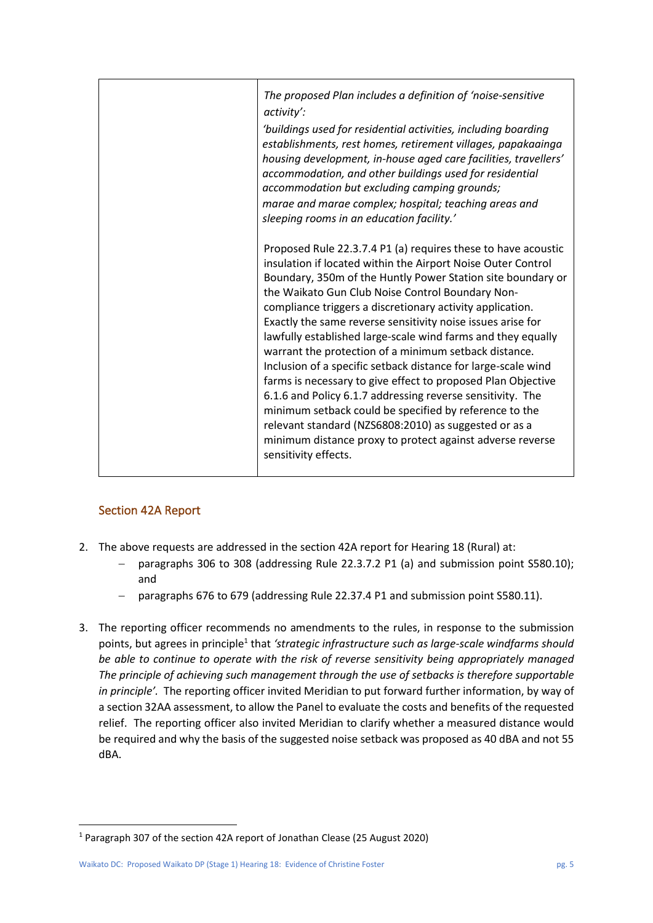| The proposed Plan includes a definition of 'noise-sensitive<br>activity':<br>'buildings used for residential activities, including boarding<br>establishments, rest homes, retirement villages, papakaainga<br>housing development, in-house aged care facilities, travellers'<br>accommodation, and other buildings used for residential<br>accommodation but excluding camping grounds;<br>marae and marae complex; hospital; teaching areas and<br>sleeping rooms in an education facility.'                                                                                                                                                                                                                                                                                                                                                                                                              |
|--------------------------------------------------------------------------------------------------------------------------------------------------------------------------------------------------------------------------------------------------------------------------------------------------------------------------------------------------------------------------------------------------------------------------------------------------------------------------------------------------------------------------------------------------------------------------------------------------------------------------------------------------------------------------------------------------------------------------------------------------------------------------------------------------------------------------------------------------------------------------------------------------------------|
| Proposed Rule 22.3.7.4 P1 (a) requires these to have acoustic<br>insulation if located within the Airport Noise Outer Control<br>Boundary, 350m of the Huntly Power Station site boundary or<br>the Waikato Gun Club Noise Control Boundary Non-<br>compliance triggers a discretionary activity application.<br>Exactly the same reverse sensitivity noise issues arise for<br>lawfully established large-scale wind farms and they equally<br>warrant the protection of a minimum setback distance.<br>Inclusion of a specific setback distance for large-scale wind<br>farms is necessary to give effect to proposed Plan Objective<br>6.1.6 and Policy 6.1.7 addressing reverse sensitivity. The<br>minimum setback could be specified by reference to the<br>relevant standard (NZS6808:2010) as suggested or as a<br>minimum distance proxy to protect against adverse reverse<br>sensitivity effects. |

## Section 42A Report

- 2. The above requests are addressed in the section 42A report for Hearing 18 (Rural) at:
	- − paragraphs 306 to 308 (addressing Rule 22.3.7.2 P1 (a) and submission point S580.10); and
	- paragraphs 676 to 679 (addressing Rule 22.37.4 P1 and submission point S580.11).
- 3. The reporting officer recommends no amendments to the rules, in response to the submission points, but agrees in principle<sup>1</sup> that 'strategic infrastructure such as large-scale windfarms should *be able to continue to operate with the risk of reverse sensitivity being appropriately managed The principle of achieving such management through the use of setbacks is therefore supportable in principle'.* The reporting officer invited Meridian to put forward further information, by way of a section 32AA assessment, to allow the Panel to evaluate the costs and benefits of the requested relief. The reporting officer also invited Meridian to clarify whether a measured distance would be required and why the basis of the suggested noise setback was proposed as 40 dBA and not 55 dBA.

<sup>1</sup> Paragraph 307 of the section 42A report of Jonathan Clease (25 August 2020)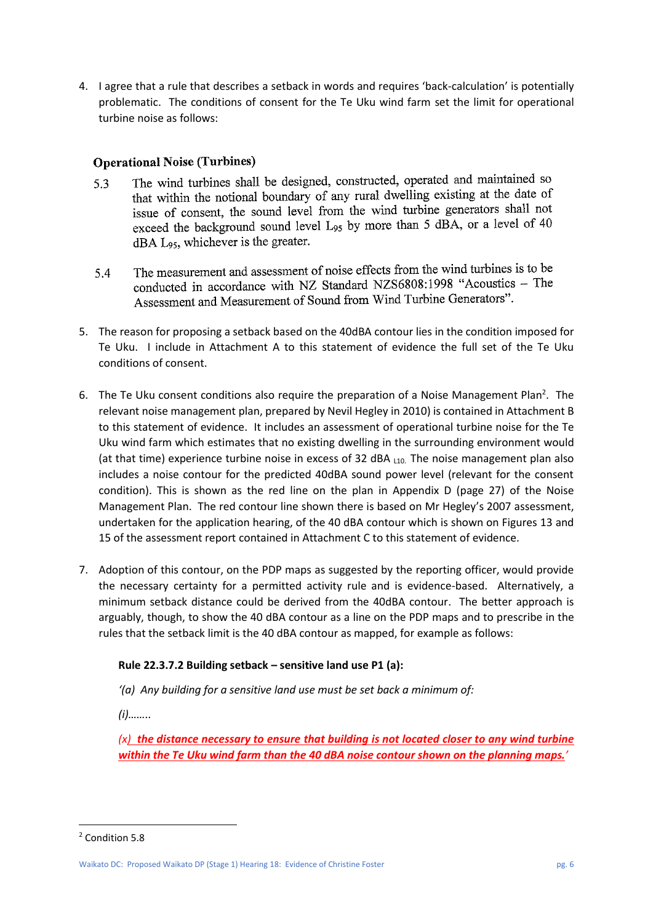4. I agree that a rule that describes a setback in words and requires 'back-calculation' is potentially problematic. The conditions of consent for the Te Uku wind farm set the limit for operational turbine noise as follows:

### **Operational Noise (Turbines)**

- The wind turbines shall be designed, constructed, operated and maintained so  $5.3$ that within the notional boundary of any rural dwelling existing at the date of issue of consent, the sound level from the wind turbine generators shall not exceed the background sound level L<sub>95</sub> by more than 5 dBA, or a level of 40 dBA L<sub>95</sub>, whichever is the greater.
- The measurement and assessment of noise effects from the wind turbines is to be 5.4 conducted in accordance with NZ Standard NZS6808:1998 "Acoustics – The Assessment and Measurement of Sound from Wind Turbine Generators".
- 5. The reason for proposing a setback based on the 40dBA contour lies in the condition imposed for Te Uku. I include in Attachment A to this statement of evidence the full set of the Te Uku conditions of consent.
- 6. The Te Uku consent conditions also require the preparation of a Noise Management Plan<sup>2</sup>. The relevant noise management plan, prepared by Nevil Hegley in 2010) is contained in Attachment B to this statement of evidence. It includes an assessment of operational turbine noise for the Te Uku wind farm which estimates that no existing dwelling in the surrounding environment would (at that time) experience turbine noise in excess of 32 dBA  $_{110}$ . The noise management plan also includes a noise contour for the predicted 40dBA sound power level (relevant for the consent condition). This is shown as the red line on the plan in Appendix D (page 27) of the Noise Management Plan. The red contour line shown there is based on Mr Hegley's 2007 assessment, undertaken for the application hearing, of the 40 dBA contour which is shown on Figures 13 and 15 of the assessment report contained in Attachment C to this statement of evidence.
- 7. Adoption of this contour, on the PDP maps as suggested by the reporting officer, would provide the necessary certainty for a permitted activity rule and is evidence-based. Alternatively, a minimum setback distance could be derived from the 40dBA contour. The better approach is arguably, though, to show the 40 dBA contour as a line on the PDP maps and to prescribe in the rules that the setback limit is the 40 dBA contour as mapped, for example as follows:

### **Rule 22.3.7.2 Building setback – sensitive land use P1 (a):**

*'(a) Any building for a sensitive land use must be set back a minimum of:*

*(i)……..*

*(x) the distance necessary to ensure that building is not located closer to any wind turbine within the Te Uku wind farm than the 40 dBA noise contour shown on the planning maps.'*

<sup>2</sup> Condition 5.8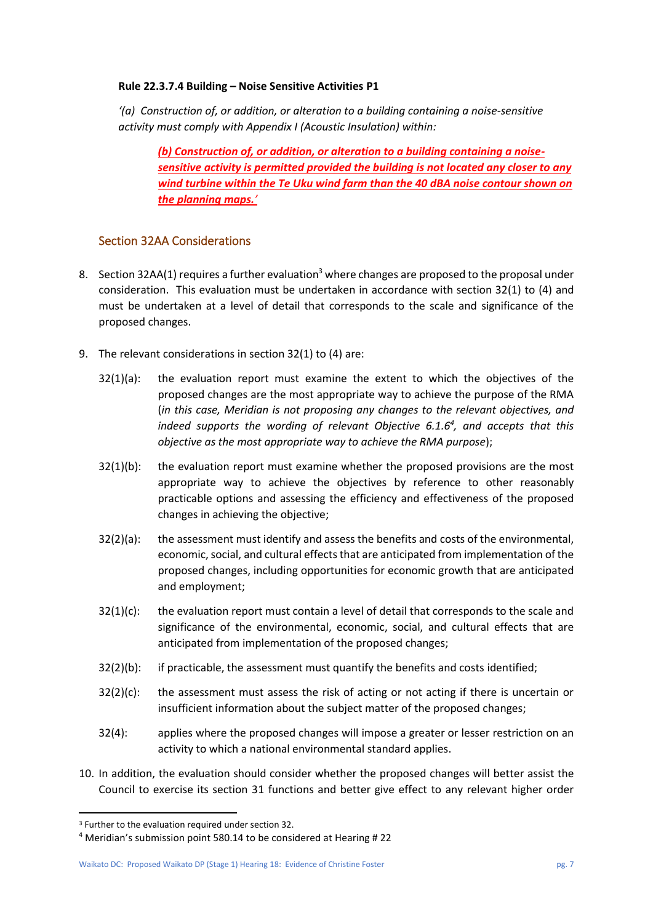#### **Rule 22.3.7.4 Building – Noise Sensitive Activities P1**

*'(a) Construction of, or addition, or alteration to a building containing a noise-sensitive activity must comply with Appendix I (Acoustic Insulation) within:*

*(b) Construction of, or addition, or alteration to a building containing a noisesensitive activity is permitted provided the building is not located any closer to any wind turbine within the Te Uku wind farm than the 40 dBA noise contour shown on the planning maps.'*

### Section 32AA Considerations

- 8. Section 32AA(1) requires a further evaluation<sup>3</sup> where changes are proposed to the proposal under consideration. This evaluation must be undertaken in accordance with section 32(1) to (4) and must be undertaken at a level of detail that corresponds to the scale and significance of the proposed changes.
- 9. The relevant considerations in section 32(1) to (4) are:
	- 32(1)(a): the evaluation report must examine the extent to which the objectives of the proposed changes are the most appropriate way to achieve the purpose of the RMA (*in this case, Meridian is not proposing any changes to the relevant objectives, and*  indeed supports the wording of relevant Objective 6.1.6<sup>4</sup>, and accepts that this *objective as the most appropriate way to achieve the RMA purpose*);
	- 32(1)(b): the evaluation report must examine whether the proposed provisions are the most appropriate way to achieve the objectives by reference to other reasonably practicable options and assessing the efficiency and effectiveness of the proposed changes in achieving the objective;
	- 32(2)(a): the assessment must identify and assess the benefits and costs of the environmental, economic, social, and cultural effects that are anticipated from implementation of the proposed changes, including opportunities for economic growth that are anticipated and employment;
	- $32(1)(c)$ : the evaluation report must contain a level of detail that corresponds to the scale and significance of the environmental, economic, social, and cultural effects that are anticipated from implementation of the proposed changes;
	- 32(2)(b): if practicable, the assessment must quantify the benefits and costs identified;
	- $32(2)(c)$ : the assessment must assess the risk of acting or not acting if there is uncertain or insufficient information about the subject matter of the proposed changes;
	- 32(4): applies where the proposed changes will impose a greater or lesser restriction on an activity to which a national environmental standard applies.
- 10. In addition, the evaluation should consider whether the proposed changes will better assist the Council to exercise its section 31 functions and better give effect to any relevant higher order

<sup>3</sup> Further to the evaluation required under section 32.

<sup>4</sup> Meridian's submission point 580.14 to be considered at Hearing # 22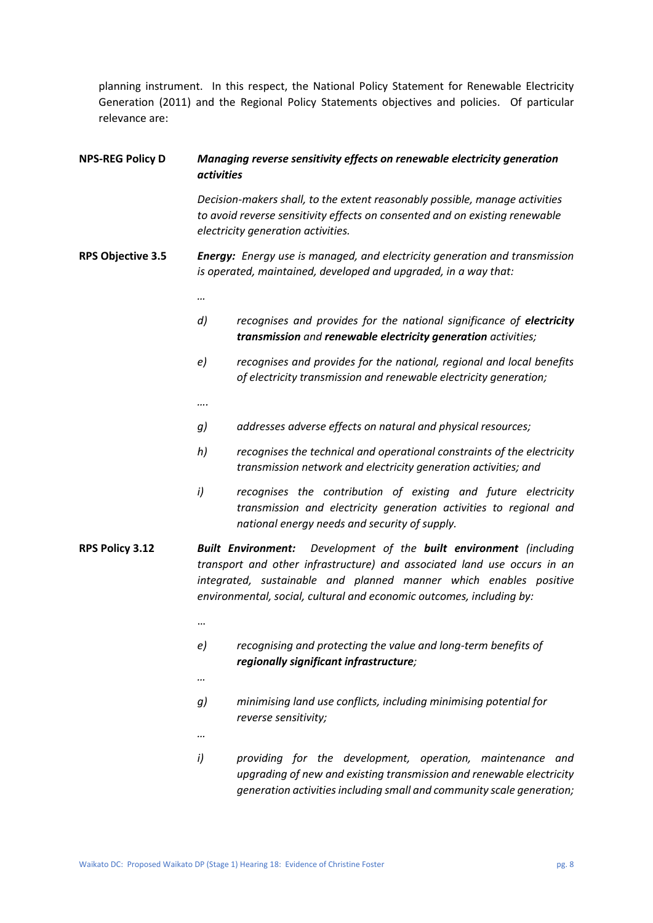planning instrument. In this respect, the National Policy Statement for Renewable Electricity Generation (2011) and the Regional Policy Statements objectives and policies. Of particular relevance are:

| <b>NPS-REG Policy D</b>  | Managing reverse sensitivity effects on renewable electricity generation<br><i>activities</i> |                                                                                                                                                                                                                                                                                             |
|--------------------------|-----------------------------------------------------------------------------------------------|---------------------------------------------------------------------------------------------------------------------------------------------------------------------------------------------------------------------------------------------------------------------------------------------|
|                          |                                                                                               | Decision-makers shall, to the extent reasonably possible, manage activities<br>to avoid reverse sensitivity effects on consented and on existing renewable<br>electricity generation activities.                                                                                            |
| <b>RPS Objective 3.5</b> |                                                                                               | <b>Energy:</b> Energy use is managed, and electricity generation and transmission<br>is operated, maintained, developed and upgraded, in a way that:                                                                                                                                        |
|                          |                                                                                               |                                                                                                                                                                                                                                                                                             |
|                          | $\left( d \right)$                                                                            | recognises and provides for the national significance of electricity<br>transmission and renewable electricity generation activities;                                                                                                                                                       |
|                          | e)                                                                                            | recognises and provides for the national, regional and local benefits<br>of electricity transmission and renewable electricity generation;                                                                                                                                                  |
|                          |                                                                                               |                                                                                                                                                                                                                                                                                             |
|                          | g)                                                                                            | addresses adverse effects on natural and physical resources;                                                                                                                                                                                                                                |
|                          | h)                                                                                            | recognises the technical and operational constraints of the electricity<br>transmission network and electricity generation activities; and                                                                                                                                                  |
|                          | i)                                                                                            | recognises the contribution of existing and future electricity<br>transmission and electricity generation activities to regional and<br>national energy needs and security of supply.                                                                                                       |
| RPS Policy 3.12          |                                                                                               | Built Environment: Development of the built environment (including<br>transport and other infrastructure) and associated land use occurs in an<br>integrated, sustainable and planned manner which enables positive<br>environmental, social, cultural and economic outcomes, including by: |
|                          |                                                                                               |                                                                                                                                                                                                                                                                                             |
|                          | e)                                                                                            | recognising and protecting the value and long-term benefits of<br>regionally significant infrastructure;                                                                                                                                                                                    |
|                          |                                                                                               |                                                                                                                                                                                                                                                                                             |
|                          | g)                                                                                            | minimising land use conflicts, including minimising potential for<br>reverse sensitivity;                                                                                                                                                                                                   |
|                          |                                                                                               |                                                                                                                                                                                                                                                                                             |
|                          | i)                                                                                            | providing for the development, operation, maintenance<br>and<br>upgrading of new and existing transmission and renewable electricity<br>generation activities including small and community scale generation;                                                                               |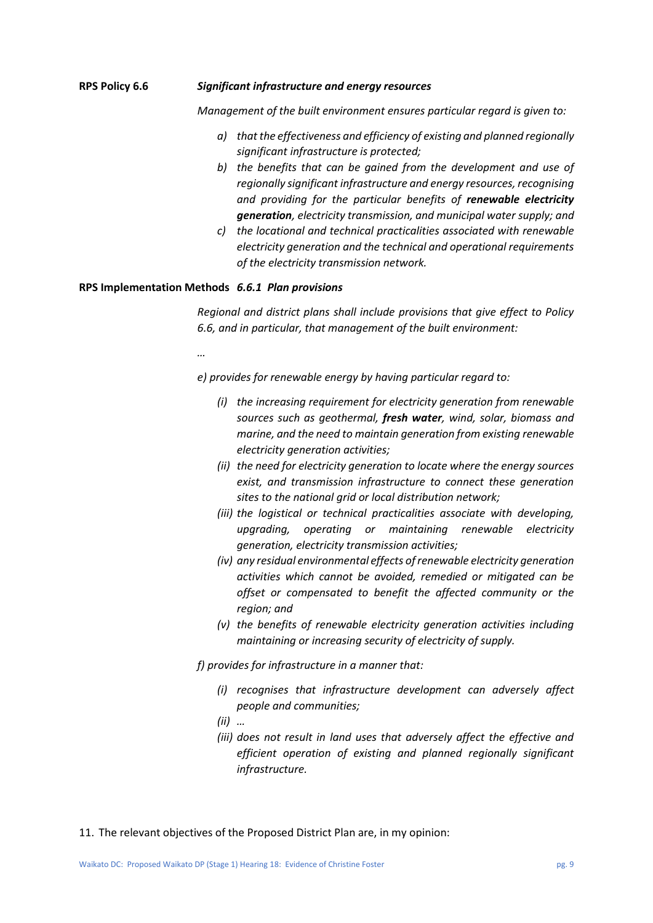#### **RPS Policy 6.6** *Significant infrastructure and energy resources*

*Management of the built environment ensures particular regard is given to:*

- *a) that the effectiveness and efficiency of existing and planned regionally significant infrastructure is protected;*
- *b) the benefits that can be gained from the development and use of regionally significant infrastructure and energy resources, recognising and providing for the particular benefits of renewable electricity generation, electricity transmission, and municipal water supply; and*
- *c) the locational and technical practicalities associated with renewable electricity generation and the technical and operational requirements of the electricity transmission network.*

#### **RPS Implementation Methods** *6.6.1 Plan provisions*

*Regional and district plans shall include provisions that give effect to Policy 6.6, and in particular, that management of the built environment:*

*…*

*e) provides for renewable energy by having particular regard to:*

- *(i) the increasing requirement for electricity generation from renewable sources such as geothermal, fresh water, wind, solar, biomass and marine, and the need to maintain generation from existing renewable electricity generation activities;*
- *(ii) the need for electricity generation to locate where the energy sources exist, and transmission infrastructure to connect these generation sites to the national grid or local distribution network;*
- *(iii) the logistical or technical practicalities associate with developing, upgrading, operating or maintaining renewable electricity generation, electricity transmission activities;*
- *(iv) any residual environmental effects of renewable electricity generation activities which cannot be avoided, remedied or mitigated can be offset or compensated to benefit the affected community or the region; and*
- *(v) the benefits of renewable electricity generation activities including maintaining or increasing security of electricity of supply.*

*f) provides for infrastructure in a manner that:*

- *(i) recognises that infrastructure development can adversely affect people and communities;*
- *(ii) …*
- *(iii) does not result in land uses that adversely affect the effective and efficient operation of existing and planned regionally significant infrastructure.*

#### 11. The relevant objectives of the Proposed District Plan are, in my opinion: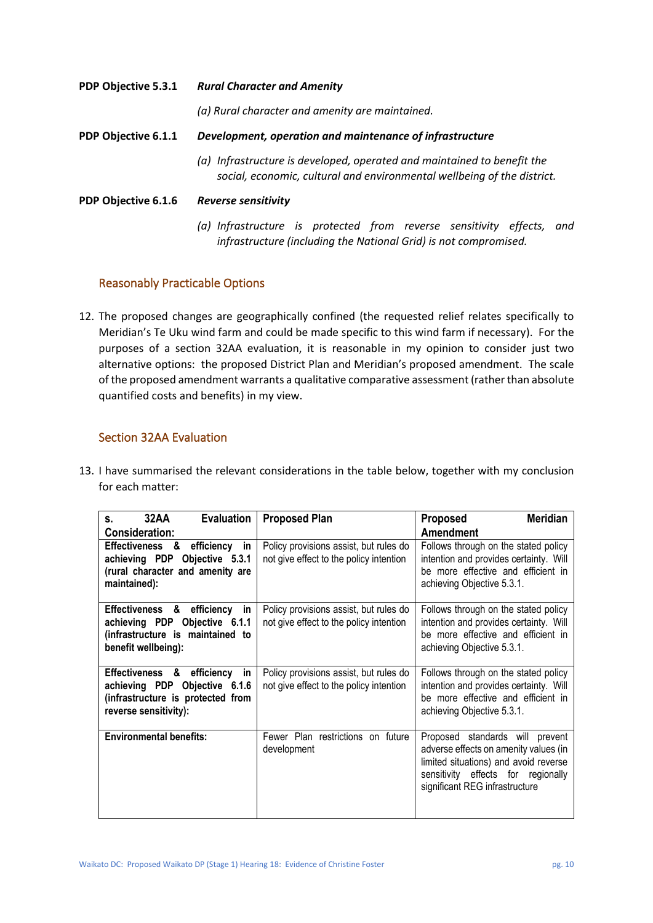**PDP Objective 5.3.1** *Rural Character and Amenity (a) Rural character and amenity are maintained.* **PDP Objective 6.1.1** *Development, operation and maintenance of infrastructure (a) Infrastructure is developed, operated and maintained to benefit the social, economic, cultural and environmental wellbeing of the district.* **PDP Objective 6.1.6** *Reverse sensitivity*

> *(a) Infrastructure is protected from reverse sensitivity effects, and infrastructure (including the National Grid) is not compromised.*

### Reasonably Practicable Options

12. The proposed changes are geographically confined (the requested relief relates specifically to Meridian's Te Uku wind farm and could be made specific to this wind farm if necessary). For the purposes of a section 32AA evaluation, it is reasonable in my opinion to consider just two alternative options: the proposed District Plan and Meridian's proposed amendment. The scale of the proposed amendment warrants a qualitative comparative assessment (rather than absolute quantified costs and benefits) in my view.

### Section 32AA Evaluation

13. I have summarised the relevant considerations in the table below, together with my conclusion for each matter:

| 32AA<br><b>Evaluation</b><br>S.                                                                                                 | <b>Proposed Plan</b>                                                              | <b>Meridian</b><br><b>Proposed</b>                                                                                                                                                        |
|---------------------------------------------------------------------------------------------------------------------------------|-----------------------------------------------------------------------------------|-------------------------------------------------------------------------------------------------------------------------------------------------------------------------------------------|
| <b>Consideration:</b>                                                                                                           |                                                                                   | <b>Amendment</b>                                                                                                                                                                          |
| Effectiveness & efficiency in<br>achieving PDP Objective 5.3.1<br>(rural character and amenity are<br>maintained):              | Policy provisions assist, but rules do<br>not give effect to the policy intention | Follows through on the stated policy<br>intention and provides certainty. Will<br>be more effective and efficient in<br>achieving Objective 5.3.1.                                        |
| Effectiveness & efficiency<br>in.<br>achieving PDP Objective 6.1.1<br>(infrastructure is maintained to<br>benefit wellbeing):   | Policy provisions assist, but rules do<br>not give effect to the policy intention | Follows through on the stated policy<br>intention and provides certainty. Will<br>be more effective and efficient in<br>achieving Objective 5.3.1.                                        |
| Effectiveness & efficiency<br>in<br>achieving PDP Objective 6.1.6<br>(infrastructure is protected from<br>reverse sensitivity): | Policy provisions assist, but rules do<br>not give effect to the policy intention | Follows through on the stated policy<br>intention and provides certainty. Will<br>be more effective and efficient in<br>achieving Objective 5.3.1.                                        |
| <b>Environmental benefits:</b>                                                                                                  | Fewer Plan restrictions on future<br>development                                  | Proposed standards will prevent<br>adverse effects on amenity values (in<br>limited situations) and avoid reverse<br>sensitivity effects for regionally<br>significant REG infrastructure |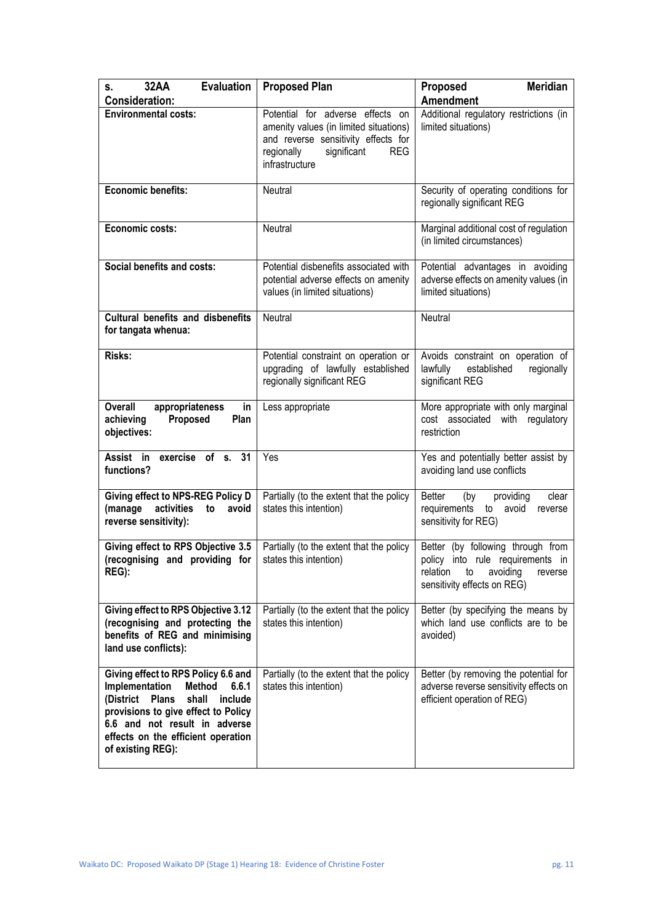| <b>Evaluation</b><br>32AA<br>S.                                                                                                                                                                                                                           | <b>Proposed Plan</b>                                                                                                                                                           | <b>Meridian</b><br>Proposed                                                                                                                   |
|-----------------------------------------------------------------------------------------------------------------------------------------------------------------------------------------------------------------------------------------------------------|--------------------------------------------------------------------------------------------------------------------------------------------------------------------------------|-----------------------------------------------------------------------------------------------------------------------------------------------|
| <b>Consideration:</b>                                                                                                                                                                                                                                     |                                                                                                                                                                                | <b>Amendment</b>                                                                                                                              |
| <b>Environmental costs:</b>                                                                                                                                                                                                                               | Potential for adverse effects on<br>amenity values (in limited situations)<br>and reverse sensitivity effects for<br>regionally<br>significant<br><b>REG</b><br>infrastructure | Additional regulatory restrictions (in<br>limited situations)                                                                                 |
| <b>Economic benefits:</b>                                                                                                                                                                                                                                 | Neutral                                                                                                                                                                        | Security of operating conditions for<br>regionally significant REG                                                                            |
| Economic costs:                                                                                                                                                                                                                                           | Neutral                                                                                                                                                                        | Marginal additional cost of regulation<br>(in limited circumstances)                                                                          |
| Social benefits and costs:                                                                                                                                                                                                                                | Potential disbenefits associated with<br>potential adverse effects on amenity<br>values (in limited situations)                                                                | Potential advantages in avoiding<br>adverse effects on amenity values (in<br>limited situations)                                              |
| <b>Cultural benefits and disbenefits</b><br>for tangata whenua:                                                                                                                                                                                           | Neutral                                                                                                                                                                        | Neutral                                                                                                                                       |
| <b>Risks:</b>                                                                                                                                                                                                                                             | Potential constraint on operation or<br>upgrading of lawfully established<br>regionally significant REG                                                                        | Avoids constraint on operation of<br>lawfully<br>established<br>regionally<br>significant REG                                                 |
| <b>Overall</b><br>appropriateness<br>in<br>Proposed<br>achieving<br>Plan<br>objectives:                                                                                                                                                                   | Less appropriate                                                                                                                                                               | More appropriate with only marginal<br>cost associated with regulatory<br>restriction                                                         |
| exercise of $s$ . 31<br>Assist in<br>functions?                                                                                                                                                                                                           | Yes                                                                                                                                                                            | Yes and potentially better assist by<br>avoiding land use conflicts                                                                           |
| <b>Giving effect to NPS-REG Policy D</b><br>(manage<br>activities<br>to<br>avoid<br>reverse sensitivity):                                                                                                                                                 | Partially (to the extent that the policy<br>states this intention)                                                                                                             | <b>Better</b><br>providing<br>clear<br>(by<br>requirements<br>to avoid<br>reverse<br>sensitivity for REG)                                     |
| Giving effect to RPS Objective 3.5<br>(recognising and providing for<br>REG):                                                                                                                                                                             | Partially (to the extent that the policy<br>states this intention)                                                                                                             | Better (by following through from<br>policy into rule requirements in<br>relation<br>to<br>avoiding<br>reverse<br>sensitivity effects on REG) |
| Giving effect to RPS Objective 3.12<br>(recognising and protecting the<br>benefits of REG and minimising<br>land use conflicts):                                                                                                                          | Partially (to the extent that the policy<br>states this intention)                                                                                                             | Better (by specifying the means by<br>which land use conflicts are to be<br>avoided)                                                          |
| Giving effect to RPS Policy 6.6 and<br>Implementation<br><b>Method</b><br>6.6.1<br>(District Plans<br>shall<br>include<br>provisions to give effect to Policy<br>6.6 and not result in adverse<br>effects on the efficient operation<br>of existing REG): | Partially (to the extent that the policy<br>states this intention)                                                                                                             | Better (by removing the potential for<br>adverse reverse sensitivity effects on<br>efficient operation of REG)                                |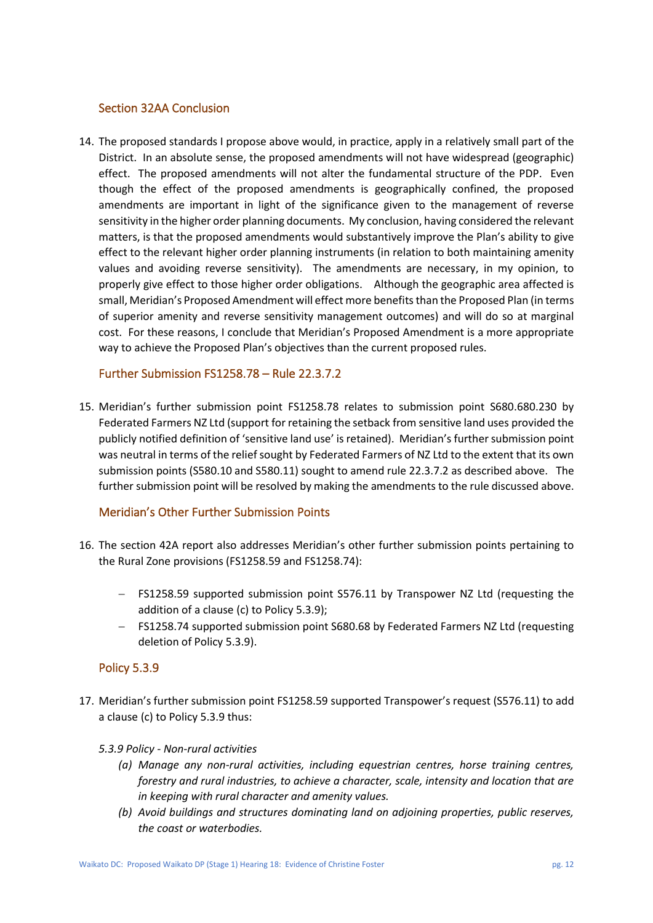### Section 32AA Conclusion

14. The proposed standards I propose above would, in practice, apply in a relatively small part of the District. In an absolute sense, the proposed amendments will not have widespread (geographic) effect. The proposed amendments will not alter the fundamental structure of the PDP. Even though the effect of the proposed amendments is geographically confined, the proposed amendments are important in light of the significance given to the management of reverse sensitivity in the higher order planning documents. My conclusion, having considered the relevant matters, is that the proposed amendments would substantively improve the Plan's ability to give effect to the relevant higher order planning instruments (in relation to both maintaining amenity values and avoiding reverse sensitivity). The amendments are necessary, in my opinion, to properly give effect to those higher order obligations. Although the geographic area affected is small, Meridian's Proposed Amendment will effect more benefitsthan the Proposed Plan (in terms of superior amenity and reverse sensitivity management outcomes) and will do so at marginal cost. For these reasons, I conclude that Meridian's Proposed Amendment is a more appropriate way to achieve the Proposed Plan's objectives than the current proposed rules.

### Further Submission FS1258.78 – Rule 22.3.7.2

15. Meridian's further submission point FS1258.78 relates to submission point S680.680.230 by Federated Farmers NZ Ltd (support for retaining the setback from sensitive land uses provided the publicly notified definition of 'sensitive land use' is retained). Meridian's further submission point was neutral in terms of the relief sought by Federated Farmers of NZ Ltd to the extent that its own submission points (S580.10 and S580.11) sought to amend rule 22.3.7.2 as described above. The further submission point will be resolved by making the amendments to the rule discussed above.

### Meridian's Other Further Submission Points

- 16. The section 42A report also addresses Meridian's other further submission points pertaining to the Rural Zone provisions (FS1258.59 and FS1258.74):
	- − FS1258.59 supported submission point S576.11 by Transpower NZ Ltd (requesting the addition of a clause (c) to Policy 5.3.9);
	- − FS1258.74 supported submission point S680.68 by Federated Farmers NZ Ltd (requesting deletion of Policy 5.3.9).

### Policy 5.3.9

- 17. Meridian's further submission point FS1258.59 supported Transpower's request (S576.11) to add a clause (c) to Policy 5.3.9 thus:
	- *5.3.9 Policy - Non-rural activities* 
		- *(a) Manage any non-rural activities, including equestrian centres, horse training centres, forestry and rural industries, to achieve a character, scale, intensity and location that are in keeping with rural character and amenity values.*
		- *(b) Avoid buildings and structures dominating land on adjoining properties, public reserves, the coast or waterbodies.*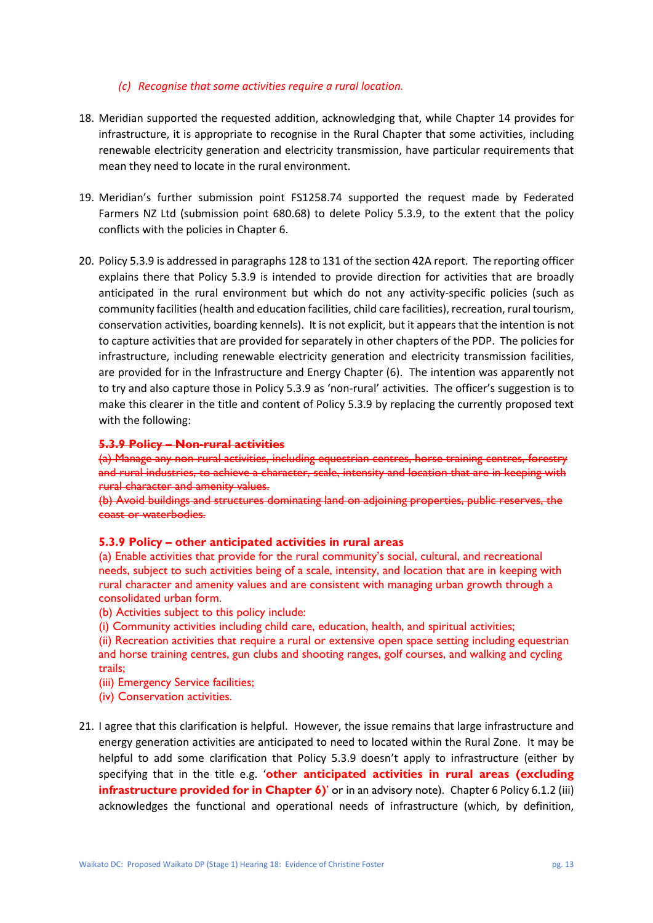#### *(c) Recognise that some activities require a rural location.*

- 18. Meridian supported the requested addition, acknowledging that, while Chapter 14 provides for infrastructure, it is appropriate to recognise in the Rural Chapter that some activities, including renewable electricity generation and electricity transmission, have particular requirements that mean they need to locate in the rural environment.
- 19. Meridian's further submission point FS1258.74 supported the request made by Federated Farmers NZ Ltd (submission point 680.68) to delete Policy 5.3.9, to the extent that the policy conflicts with the policies in Chapter 6.
- 20. Policy 5.3.9 is addressed in paragraphs 128 to 131 of the section 42A report. The reporting officer explains there that Policy 5.3.9 is intended to provide direction for activities that are broadly anticipated in the rural environment but which do not any activity-specific policies (such as community facilities (health and education facilities, child care facilities), recreation, rural tourism, conservation activities, boarding kennels). It is not explicit, but it appears that the intention is not to capture activities that are provided for separately in other chapters of the PDP. The policies for infrastructure, including renewable electricity generation and electricity transmission facilities, are provided for in the Infrastructure and Energy Chapter (6). The intention was apparently not to try and also capture those in Policy 5.3.9 as 'non-rural' activities. The officer's suggestion is to make this clearer in the title and content of Policy 5.3.9 by replacing the currently proposed text with the following:

#### **5.3.9 Policy – Non-rural activities**

(a) Manage any non-rural activities, including equestrian centres, horse training centres, forestry and rural industries, to achieve a character, scale, intensity and location that are in keeping with rural character and amenity values.

(b) Avoid buildings and structures dominating land on adjoining properties, public reserves, the coast or waterbodies.

#### **5.3.9 Policy – other anticipated activities in rural areas**

(a) Enable activities that provide for the rural community's social, cultural, and recreational needs, subject to such activities being of a scale, intensity, and location that are in keeping with rural character and amenity values and are consistent with managing urban growth through a consolidated urban form.

(b) Activities subject to this policy include:

(i) Community activities including child care, education, health, and spiritual activities;

(ii) Recreation activities that require a rural or extensive open space setting including equestrian and horse training centres, gun clubs and shooting ranges, golf courses, and walking and cycling trails;

(iii) Emergency Service facilities;

(iv) Conservation activities.

21. I agree that this clarification is helpful. However, the issue remains that large infrastructure and energy generation activities are anticipated to need to located within the Rural Zone. It may be helpful to add some clarification that Policy 5.3.9 doesn't apply to infrastructure (either by specifying that in the title e.g. '**other anticipated activities in rural areas (excluding infrastructure provided for in Chapter 6)**' or in an advisory note). Chapter 6 Policy 6.1.2 (iii) acknowledges the functional and operational needs of infrastructure (which, by definition,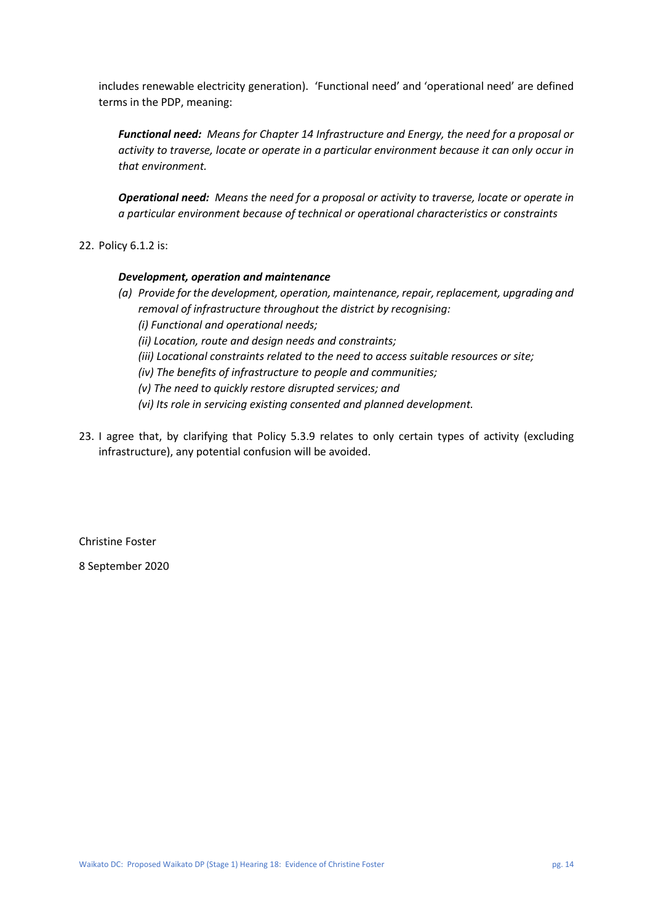includes renewable electricity generation). 'Functional need' and 'operational need' are defined terms in the PDP, meaning:

*Functional need: Means for Chapter 14 Infrastructure and Energy, the need for a proposal or activity to traverse, locate or operate in a particular environment because it can only occur in that environment.*

*Operational need: Means the need for a proposal or activity to traverse, locate or operate in a particular environment because of technical or operational characteristics or constraints*

22. Policy 6.1.2 is:

#### *Development, operation and maintenance*

- *(a) Provide for the development, operation, maintenance, repair, replacement, upgrading and removal of infrastructure throughout the district by recognising: (i) Functional and operational needs; (ii) Location, route and design needs and constraints; (iii) Locational constraints related to the need to access suitable resources or site; (iv) The benefits of infrastructure to people and communities;* 
	- *(v) The need to quickly restore disrupted services; and*
	- *(vi) Its role in servicing existing consented and planned development.*
- 23. I agree that, by clarifying that Policy 5.3.9 relates to only certain types of activity (excluding infrastructure), any potential confusion will be avoided.

Christine Foster

8 September 2020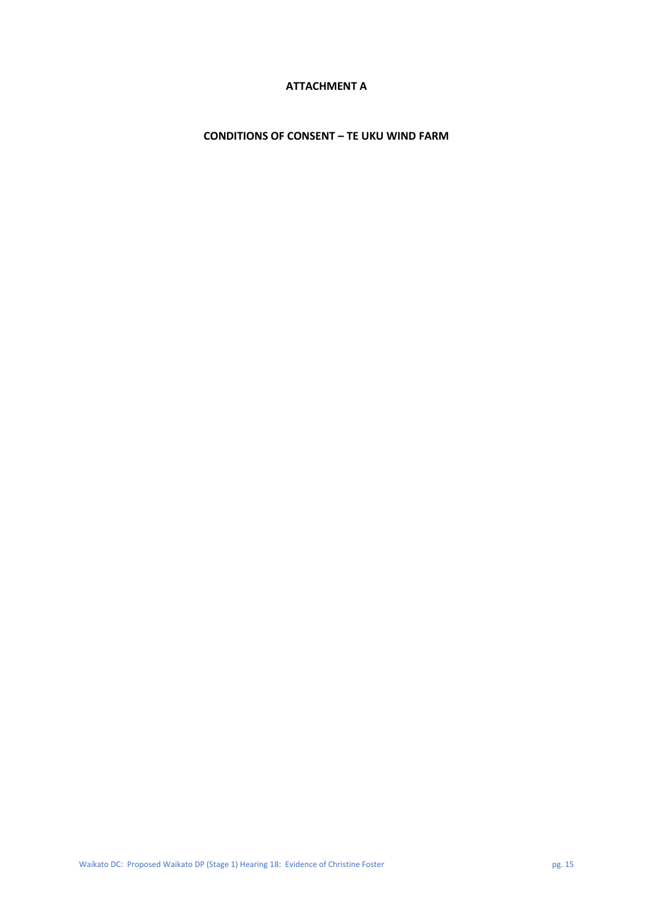#### **ATTACHMENT A**

**CONDITIONS OF CONSENT – TE UKU WIND FARM**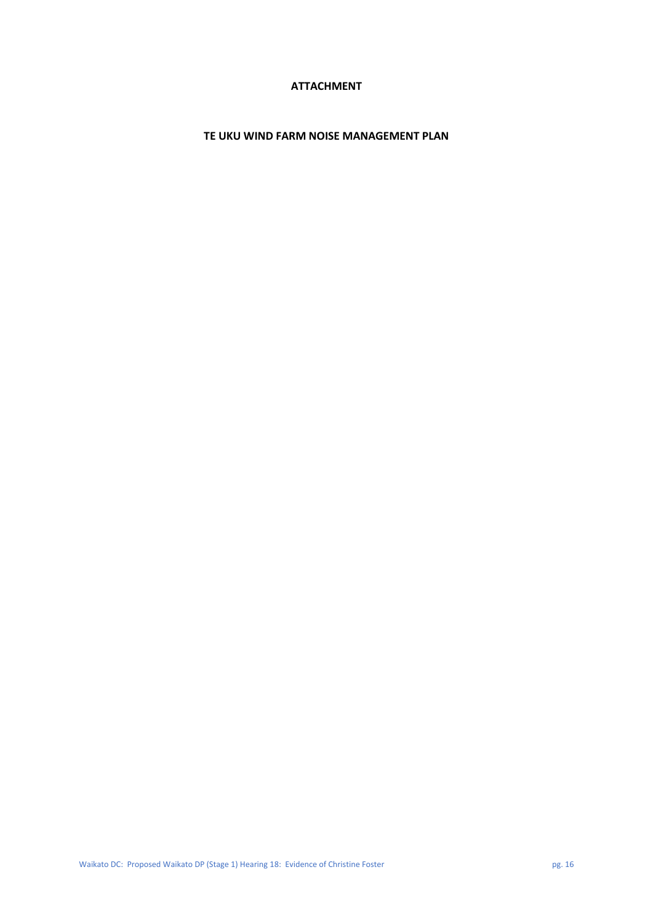#### **ATTACHMENT**

### **TE UKU WIND FARM NOISE MANAGEMENT PLAN**